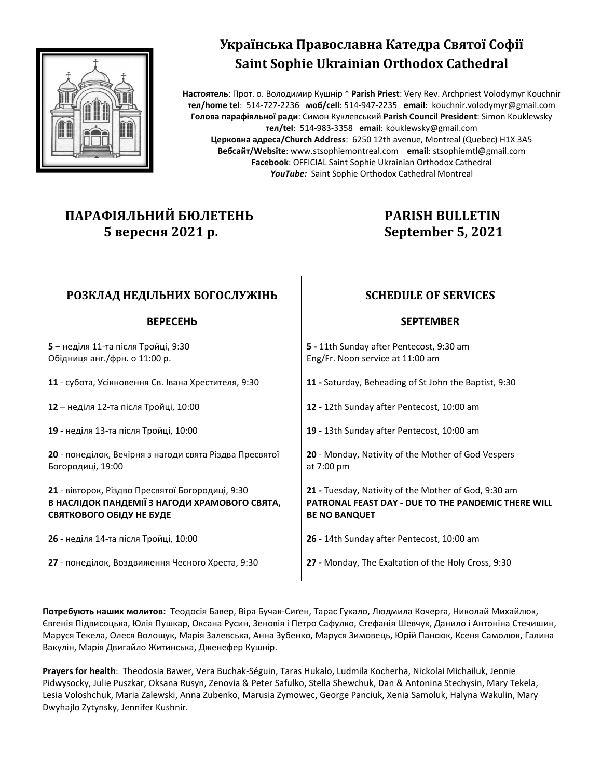

# Українська Православна Катедра Святої Софії **Saint Sophie Ukrainian Orthodox Cathedral**

**Настоятель**: Прот. о. Володимир Кушнір \* **Parish Priest**: Very Rev. Archpriest Volodymyr Kouchnir **тел/home tel**: 514-727-2236 **моб/cell**: 514-947-2235 **email**: kouchnir.volodymyr@gmail.com **Голова парафіяльної ради**: Симон Куклевський **Parish Council President**: Simon Kouklewsky **тел/tel**: 514-983-3358 **email**: kouklewsky@gmail.com **Церковна адреса/Church Address**: 6250 12th avenue, Montreal (Quebec) H1X 3A5 **Вебсайт/Website**: www.stsophiemontreal.com **email**: stsophiemtl@gmail.com **Facebook**: OFFICIAL Saint Sophie Ukrainian Orthodox Cathedral *YouTube:* Saint Sophie Orthodox Cathedral Montreal

## **ПАРАФІЯЛЬНИЙ БЮЛЕТЕНЬ 5 вересня 2021 р.**

## **PARISH BULLETIN September 5, 2021**

| РОЗКЛАД НЕДІЛЬНИХ БОГОСЛУЖІНЬ                                                                                                 | <b>SCHEDULE OF SERVICES</b>                                                                                                         |
|-------------------------------------------------------------------------------------------------------------------------------|-------------------------------------------------------------------------------------------------------------------------------------|
| <b>BEPECEH<sub>b</sub></b>                                                                                                    | <b>SEPTEMBER</b>                                                                                                                    |
| 5 – неділя 11-та після Тройці, 9:30<br>Обідниця анг./фрн. о 11:00 р.                                                          | 5 - 11th Sunday after Pentecost, 9:30 am<br>Eng/Fr. Noon service at 11:00 am                                                        |
| 11 - субота, Усікновення Св. Івана Хрестителя, 9:30                                                                           | 11 - Saturday, Beheading of St John the Baptist, 9:30                                                                               |
| 12 – неділя 12-та після Тройці, 10:00                                                                                         | 12 - 12th Sunday after Pentecost, 10:00 am                                                                                          |
| 19 - неділя 13-та після Тройці, 10:00                                                                                         | 19 - 13th Sunday after Pentecost, 10:00 am                                                                                          |
| 20 - понеділок, Вечірня з нагоди свята Різдва Пресвятої<br>Богородиці, 19:00                                                  | 20 - Monday, Nativity of the Mother of God Vespers<br>at 7:00 pm                                                                    |
| 21 - вівторок, Різдво Пресвятої Богородиці, 9:30<br>В НАСЛІДОК ПАНДЕМІЇ З НАГОДИ ХРАМОВОГО СВЯТА,<br>СВЯТКОВОГО ОБІДУ НЕ БУДЕ | 21 - Tuesday, Nativity of the Mother of God, 9:30 am<br>PATRONAL FEAST DAY - DUE TO THE PANDEMIC THERE WILL<br><b>BE NO BANQUET</b> |
| 26 - неділя 14-та після Тройці, 10:00                                                                                         | 26 - 14th Sunday after Pentecost, 10:00 am                                                                                          |
| 27 - понеділок, Воздвиження Чесного Хреста, 9:30                                                                              | 27 - Monday, The Exaltation of the Holy Cross, 9:30                                                                                 |

**Потребують наших молитов:** Теодосія Бавер, Віра Бучак-Сиґен, Тарас Гукало, Людмила Кочерга, Николай Михайлюк, Євгенія Підвисоцька, Юлія Пушкар, Оксанa Русин, Зеновія і Петро Сафулко, Стефанія Шевчук, Данило і Антоніна Стечишин, Маруся Текела, Олеся Волощук, Марія Залевська, Анна Зубенко, Маруся Зимовець, Юрій Пансюк, Ксеня Самолюк, Галина Вакулін, Марія Двигайло Житинська, Дженефер Кушнір.

**Prayers for health**: Theodosia Bawer, Vera Buchak-Séguin, Taras Hukalo, Ludmila Kocherha, Nickolai Michailuk, Jennie Pidwysocky, Julie Puszkar, Oksana Rusyn, Zenovia & Peter Safulko, Stella Shewchuk, Dan & Antonina Stechysin, Mary Tekela, Lesia Voloshchuk, Maria Zalewski, Anna Zubenko, Marusia Zymowec, George Panciuk, Xenia Samoluk, Halyna Wakulin, Mary Dwyhajlo Zytynsky, Jennifer Kushnir.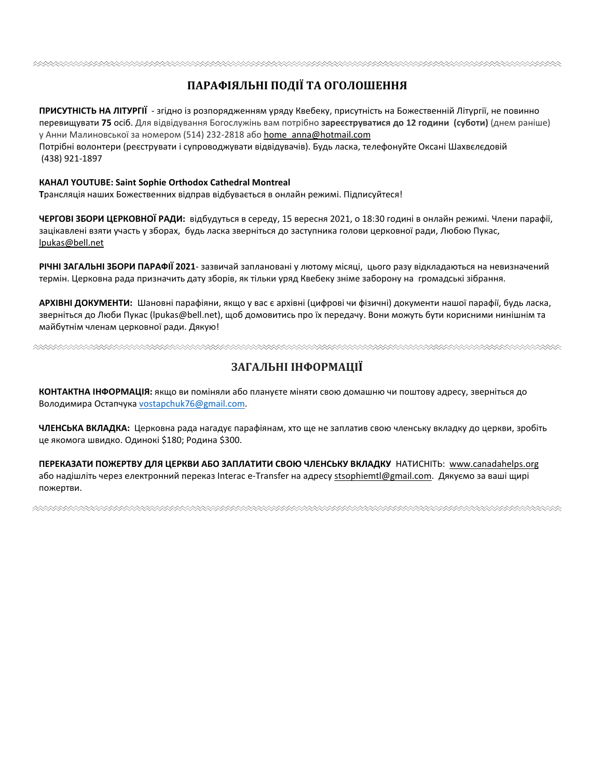#### 

## **ПАРАФІЯЛЬНІ ПОДІЇ ТА ОГОЛОШЕННЯ**

**ПРИСУТНІСТЬ НА ЛІТУРГІЇ** - згідно із розпорядженням уряду Квебеку, присутність на Божественній Літургії, не повинно перевищувати **75** осіб. Для відвідування Богослужінь вам потрібно **зареєструватися до 12 години (суботи)** (днем раніше) у Анни Малиновської за номером (514) 232-2818 або home\_anna@hotmail.com

Потрібні волонтери (реєструвати і супроводжувати відвідувачів). Будь ласка, телефонуйте Оксані Шахвєлєдовій (438) 921-1897

#### **КАНАЛ YOUTUBE: Saint Sophie Orthodox Cathedral Montreal**

**Т**рансляція наших Божественних відправ відбувається в онлайн режимі. Підписуйтеся!

**ЧЕРГОВІ ЗБОРИ ЦЕРКОВНОЇ РАДИ:** відбудуться в середу, 15 вересня 2021, о 18:30 годині в онлайн режимі. Члени парафії, зацікавлені взяти участь у зборах, будь ласка зверніться до заступника голови церковної ради, Любою Пукас, lpukas@bell.net

**РІЧНІ ЗАГАЛЬНІ ЗБОРИ ПАРАФІЇ 2021**- зазвичай заплановані у лютому місяці, цього разу відкладаються на невизначений термін. Церковна рада призначить дату зборів, як тільки уряд Квебеку знімe заборону на громадські зібрання.

**АРХІВНІ ДОКУМЕНТИ:** Шановні парафіяни, якщо у вас є архівні (цифрові чи фізичні) документи нашої парафії, будь ласка, зверніться до Люби Пукас (lpukas@bell.net), щоб домовитись про їх передачу. Вони можуть бути корисними нинішнім та майбутнім членам церковної ради. Дякую!

## **ЗАГАЛЬНІ ІНФОРМАЦІЇ**

**КОНТАКТНА ІНФОРМАЦІЯ:** якщо ви поміняли або плануєте міняти свою домашню чи поштову адресу, зверніться до Володимира Остапчука vostapchuk76@gmail.com.

**ЧЛЕНСЬКА ВКЛАДКА:** Церковна рада нагадує парафіянам, хто ще не заплатив свою членську вкладку до церкви, зробіть це якомога швидко. Одинокі \$180; Родина \$300.

**ПЕРЕКАЗАТИ ПОЖЕРТВУ ДЛЯ ЦЕРКВИ АБО ЗАПЛАТИТИ СВОЮ ЧЛЕНСЬКУ ВКЛАДКУ** НАТИСНІТЬ: www.canadahelps.org або надішліть через електронний переказ Interac e-Transfer на адресу stsophiemtl@gmail.com. Дякуємо за ваші щирі пожертви.